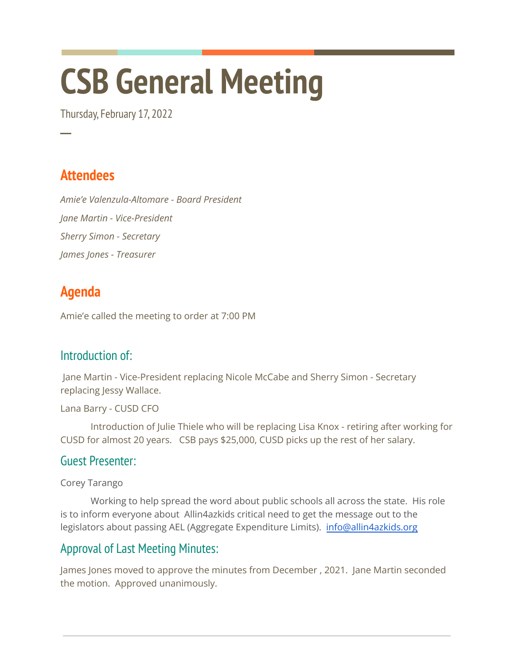# **CSB General Meeting**

Thursday, February 17, 2022

## **Attendees**

**─**

*Amie'e Valenzula-Altomare - Board President Jane Martin - Vice-President Sherry Simon - Secretary James Jones - Treasurer*

## **Agenda**

Amie'e called the meeting to order at 7:00 PM

#### Introduction of:

Jane Martin - Vice-President replacing Nicole McCabe and Sherry Simon - Secretary replacing Jessy Wallace.

Lana Barry - CUSD CFO

Introduction of Julie Thiele who will be replacing Lisa Knox - retiring after working for CUSD for almost 20 years. CSB pays \$25,000, CUSD picks up the rest of her salary.

#### Guest Presenter:

Corey Tarango

Working to help spread the word about public schools all across the state. His role is to inform everyone about Allin4azkids critical need to get the message out to the legislators about passing AEL (Aggregate Expenditure Limits). [info@allin4azkids.org](mailto:info@allin4azkids.org)

#### Approval of Last Meeting Minutes:

James Jones moved to approve the minutes from December , 2021. Jane Martin seconded the motion. Approved unanimously.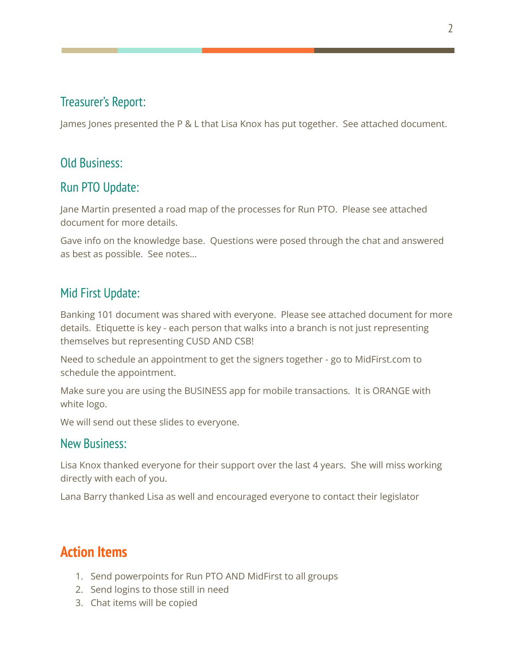#### Treasurer's Report:

James Jones presented the P & L that Lisa Knox has put together. See attached document.

#### Old Business:

#### Run PTO Update:

Jane Martin presented a road map of the processes for Run PTO. Please see attached document for more details.

Gave info on the knowledge base. Questions were posed through the chat and answered as best as possible. See notes…

#### Mid First Update:

Banking 101 document was shared with everyone. Please see attached document for more details. Etiquette is key - each person that walks into a branch is not just representing themselves but representing CUSD AND CSB!

Need to schedule an appointment to get the signers together - go to MidFirst.com to schedule the appointment.

Make sure you are using the BUSINESS app for mobile transactions. It is ORANGE with white logo.

We will send out these slides to everyone.

#### New Business:

Lisa Knox thanked everyone for their support over the last 4 years. She will miss working directly with each of you.

Lana Barry thanked Lisa as well and encouraged everyone to contact their legislator

### **Action Items**

- 1. Send powerpoints for Run PTO AND MidFirst to all groups
- 2. Send logins to those still in need
- 3. Chat items will be copied